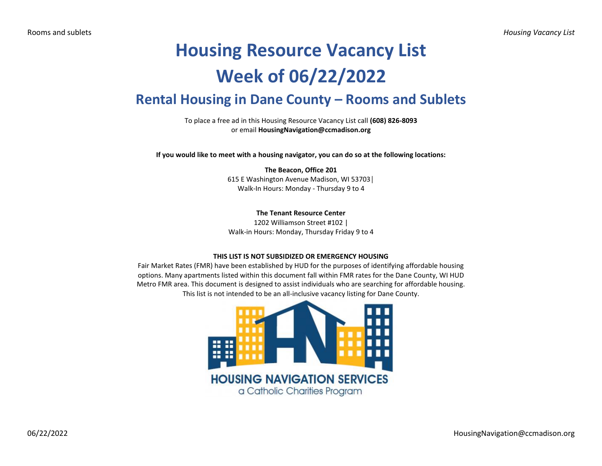# **Housing Resource Vacancy List Week of 06/22/2022**

# **Rental Housing in Dane County – Rooms and Sublets**

To place a free ad in this Housing Resource Vacancy List call **(608) 826-8093** or email **HousingNavigation@ccmadison.org**

**If you would like to meet with a housing navigator, you can do so at the following locations:**

#### **The Beacon, Office 201** 615 E Washington Avenue Madison, WI 53703│ Walk-In Hours: Monday - Thursday 9 to 4

## **The Tenant Resource Center**

1202 Williamson Street #102 | Walk-in Hours: Monday, Thursday Friday 9 to 4

#### **THIS LIST IS NOT SUBSIDIZED OR EMERGENCY HOUSING**

Fair Market Rates (FMR) have been established by HUD for the purposes of identifying affordable housing options. Many apartments listed within this document fall within FMR rates for the Dane County, WI HUD Metro FMR area. This document is designed to assist individuals who are searching for affordable housing. This list is not intended to be an all-inclusive vacancy listing for Dane County.

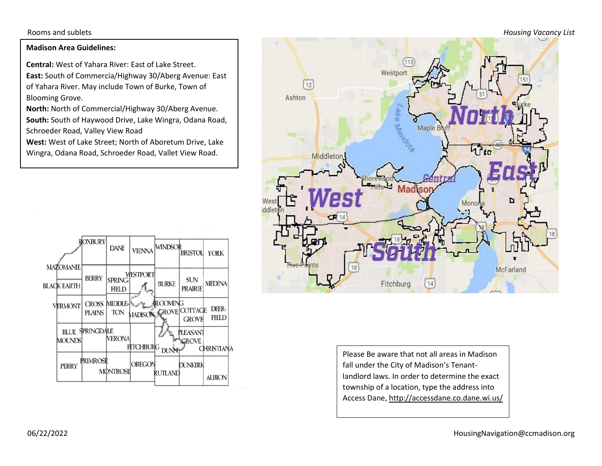Rooms and sublets *Housing Vacancy List*

### **Madison Area Guidelines:**

**Central:** West of Yahara River: East of Lake Street. **East:** South of Commercia/Highway 30/Aberg Avenue: East of Yahara River. May include Town of Burke, Town of Blooming Grove.

**North:** North of Commercial/Highway 30/Aberg Avenue. **South:** South of Haywood Drive, Lake Wingra, Odana Road, Schroeder Road, Valley View Road

**West:** West of Lake Street; North of Aboretum Drive, Lake Wingra, Odana Road, Schroeder Road, Vallet View Road.





Please Be aware that not all areas in Madison fall under the City of Madison's Tenantlandlord laws. In order to determine the exact township of a location, type the address into Access Dane, http://accessdane.co.dane.wi.us/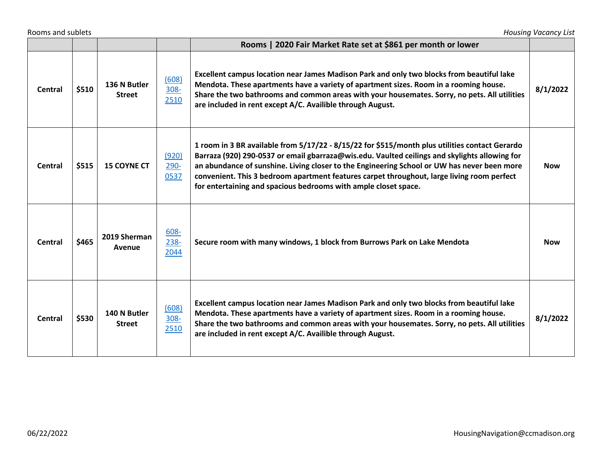| Rooms and sublets<br><b>Housing Vacancy List</b> |       |                               |                       |                                                                                                                                                                                                                                                                                                                                                                                                                                                                 |            |  |  |  |
|--------------------------------------------------|-------|-------------------------------|-----------------------|-----------------------------------------------------------------------------------------------------------------------------------------------------------------------------------------------------------------------------------------------------------------------------------------------------------------------------------------------------------------------------------------------------------------------------------------------------------------|------------|--|--|--|
|                                                  |       |                               |                       | Rooms   2020 Fair Market Rate set at \$861 per month or lower                                                                                                                                                                                                                                                                                                                                                                                                   |            |  |  |  |
| Central                                          | \$510 | 136 N Butler<br><b>Street</b> | (608)<br>308-<br>2510 | Excellent campus location near James Madison Park and only two blocks from beautiful lake<br>Mendota. These apartments have a variety of apartment sizes. Room in a rooming house.<br>Share the two bathrooms and common areas with your housemates. Sorry, no pets. All utilities<br>are included in rent except A/C. Availible through August.                                                                                                                | 8/1/2022   |  |  |  |
| <b>Central</b>                                   | \$515 | <b>15 COYNE CT</b>            | (920)<br>290-<br>0537 | 1 room in 3 BR available from 5/17/22 - 8/15/22 for \$515/month plus utilities contact Gerardo<br>Barraza (920) 290-0537 or email gbarraza@wis.edu. Vaulted ceilings and skylights allowing for<br>an abundance of sunshine. Living closer to the Engineering School or UW has never been more<br>convenient. This 3 bedroom apartment features carpet throughout, large living room perfect<br>for entertaining and spacious bedrooms with ample closet space. | <b>Now</b> |  |  |  |
| <b>Central</b>                                   | \$465 | 2019 Sherman<br>Avenue        | 608-<br>238-<br>2044  | Secure room with many windows, 1 block from Burrows Park on Lake Mendota                                                                                                                                                                                                                                                                                                                                                                                        | <b>Now</b> |  |  |  |
| <b>Central</b>                                   | \$530 | 140 N Butler<br><b>Street</b> | (608)<br>308-<br>2510 | Excellent campus location near James Madison Park and only two blocks from beautiful lake<br>Mendota. These apartments have a variety of apartment sizes. Room in a rooming house.<br>Share the two bathrooms and common areas with your housemates. Sorry, no pets. All utilities<br>are included in rent except A/C. Availible through August.                                                                                                                | 8/1/2022   |  |  |  |